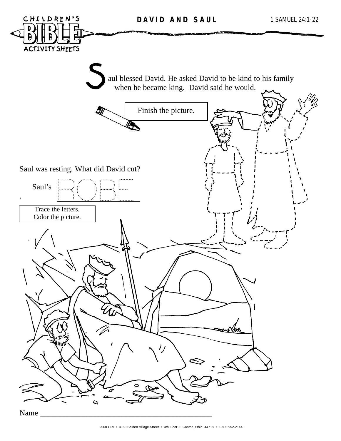